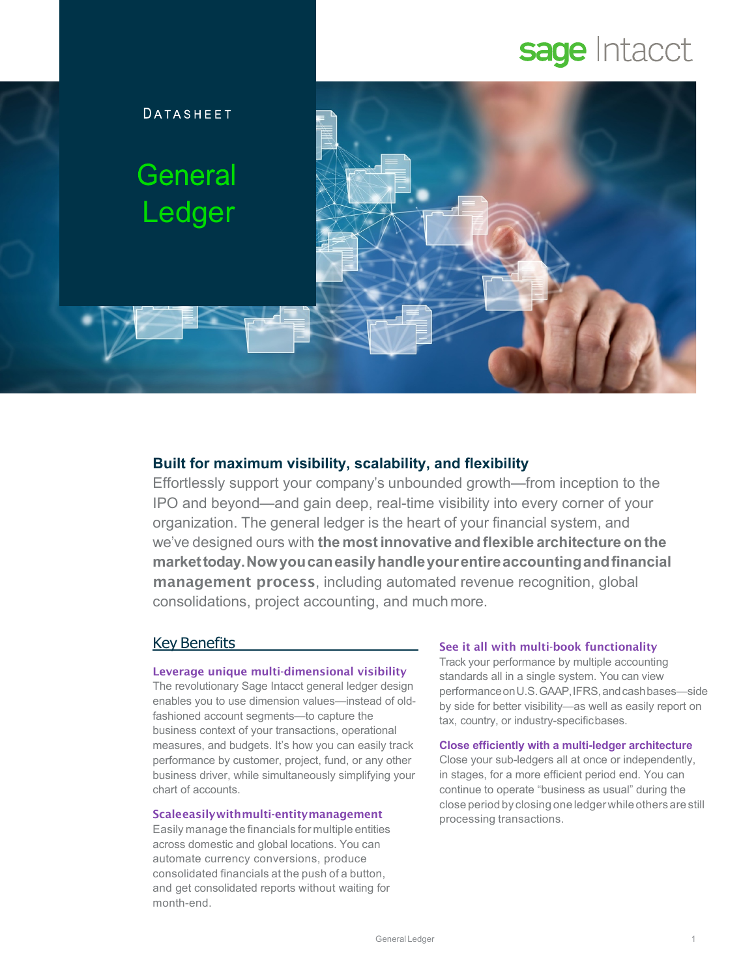# sage Intacct



# **Built for maximum visibility, scalability, and flexibility**

Effortlessly support your company's unbounded growth—from inception to the IPO and beyond—and gain deep, real-time visibility into every corner of your organization. The general ledger is the heart of your financial system, and we've designed ours with **the mostinnovative and flexible architecture on the markettoday.Nowyoucaneasilyhandleyourentireaccountingandfinancial**  management process, including automated revenue recognition, global consolidations, project accounting, and muchmore.

# Key Benefits

## Leverage unique multi-dimensional visibility

The revolutionary Sage Intacct general ledger design enables you to use dimension values—instead of oldfashioned account segments—to capture the business context of your transactions, operational measures, and budgets. It's how you can easily track performance by customer, project, fund, or any other business driver, while simultaneously simplifying your chart of accounts.

## Scaleeasilywithmulti-entitymanagement

Easily manage the financials for multiple entities across domestic and global locations. You can automate currency conversions, produce consolidated financials at the push of a button, and get consolidated reports without waiting for month-end.

#### See it all with multi-book functionality

Track your performance by multiple accounting standards all in a single system. You can view performanceonU.S.GAAP,IFRS,andcashbases—side by side for better visibility—as well as easily report on tax, country, or industry-specificbases.

#### **Close efficiently with a multi-ledger architecture**

Close your sub-ledgers all at once or independently, in stages, for a more efficient period end. You can continue to operate "business as usual" during the close period by closing one ledgerwhile others are still processing transactions.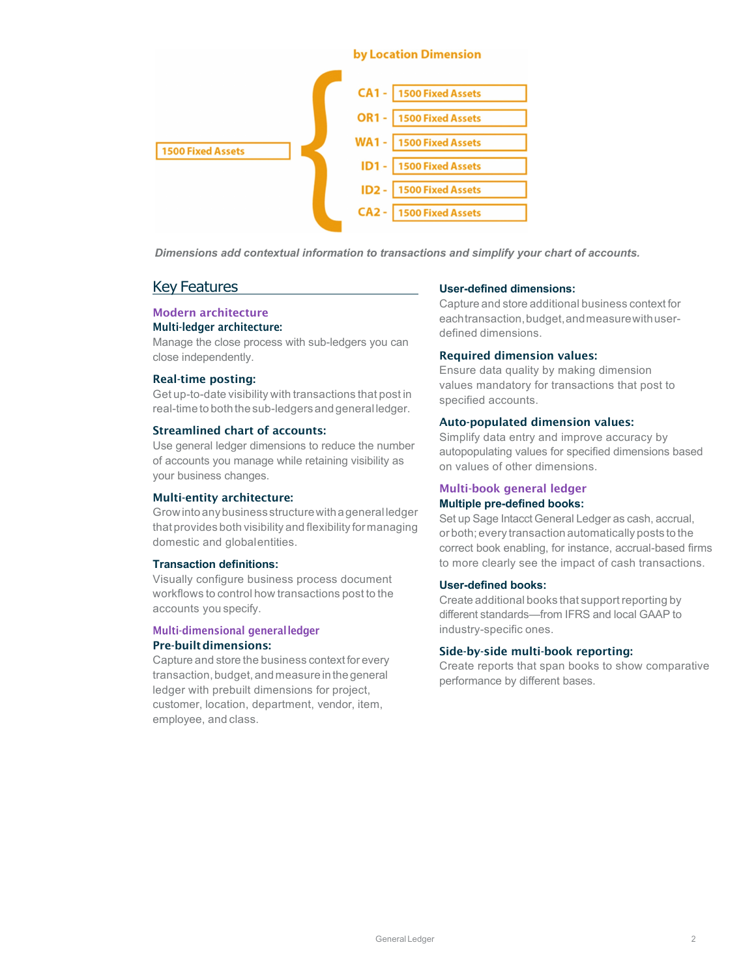

*Dimensions add contextual information to transactions and simplify your chart of accounts.*

## Key Features

#### Modern architecture Multi-ledger architecture:

Manage the close process with sub-ledgers you can close independently.

#### Real-time posting:

Get up-to-date visibility with transactions that post in real-time to both the sub-ledgers and general ledger.

#### Streamlined chart of accounts:

Use general ledger dimensions to reduce the number of accounts you manage while retaining visibility as your business changes.

#### Multi-entity architecture:

Growintoanybusinessstructurewithageneral ledger that provides both visibility and flexibility for managing domestic and globalentities.

### **Transaction definitions:**

Visually configure business process document workflows to control how transactions post to the accounts you specify.

## Multi-dimensional generalledger Pre-builtdimensions:

Capture and store the business context for every transaction, budget, and measure in the general ledger with prebuilt dimensions for project, customer, location, department, vendor, item, employee, and class.

#### **User-defined dimensions:**

Capture and store additional business context for eachtransaction,budget,andmeasurewithuserdefined dimensions.

## Required dimension values:

Ensure data quality by making dimension values mandatory for transactions that post to specified accounts.

#### Auto-populated dimension values:

Simplify data entry and improve accuracy by autopopulating values for specified dimensions based on values of other dimensions.

#### Multi-book general ledger **Multiple pre-defined books:**

Set up Sage Intacct General Ledger as cash, accrual, or both; every transaction automatically posts to the correct book enabling, for instance, accrual-based firms to more clearly see the impact of cash transactions.

#### **User-defined books:**

Create additional books that support reporting by different standards—from IFRS and local GAAP to industry-specific ones.

#### Side-by-side multi-book reporting:

Create reports that span books to show comparative performance by different bases.